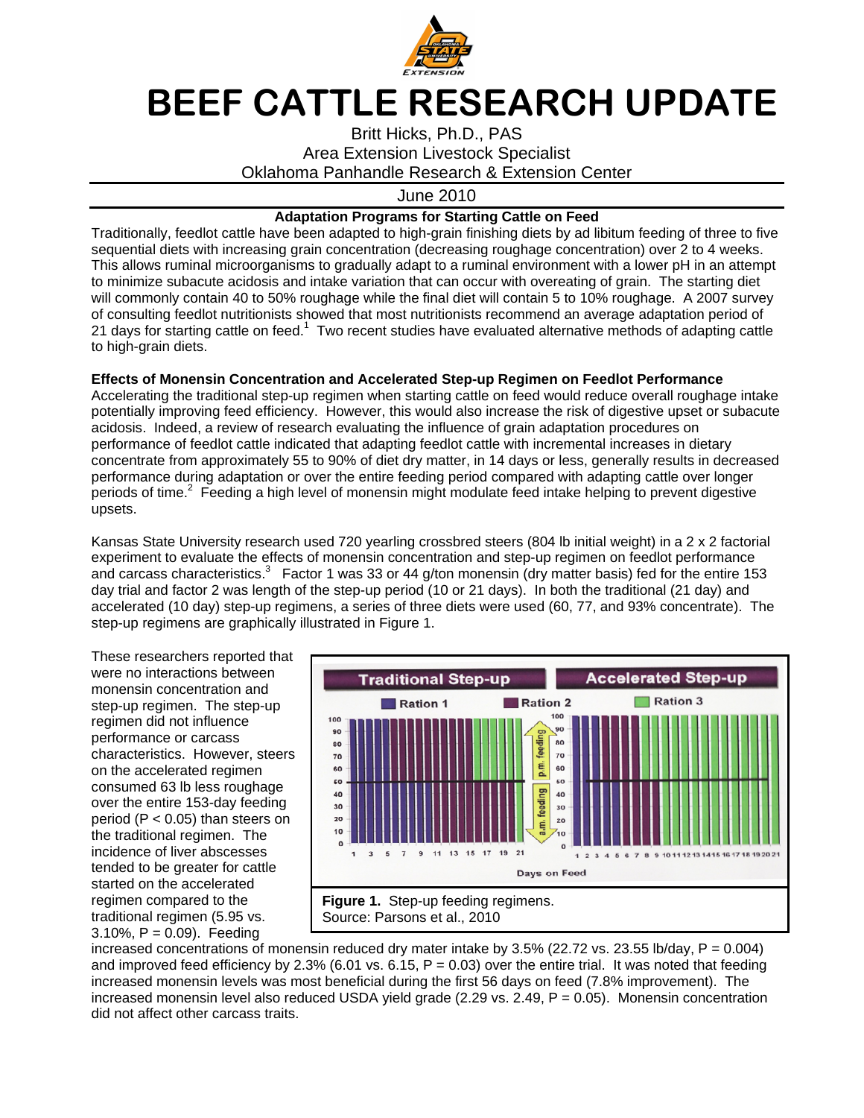

## BEEF CATTLE RESEARCH UPDATE

Britt Hicks, Ph.D., PAS Area Extension Livestock Specialist Oklahoma Panhandle Research & Extension Center

June 2010

## **Adaptation Programs for Starting Cattle on Feed**

Traditionally, feedlot cattle have been adapted to high-grain finishing diets by ad libitum feeding of three to five sequential diets with increasing grain concentration (decreasing roughage concentration) over 2 to 4 weeks. This allows ruminal microorganisms to gradually adapt to a ruminal environment with a lower pH in an attempt to minimize subacute acidosis and intake variation that can occur with overeating of grain. The starting diet will commonly contain 40 to 50% roughage while the final diet will contain 5 to 10% roughage. A 2007 survey of consulting feedlot nutritionists showed that most nutritionists recommend an average adaptation period of 21 days for starting cattle on feed.<sup>1</sup> Two recent studies have evaluated alternative methods of adapting cattle to high-grain diets.

## **Effects of Monensin Concentration and Accelerated Step-up Regimen on Feedlot Performance**

Accelerating the traditional step-up regimen when starting cattle on feed would reduce overall roughage intake potentially improving feed efficiency. However, this would also increase the risk of digestive upset or subacute acidosis. Indeed, a review of research evaluating the influence of grain adaptation procedures on performance of feedlot cattle indicated that adapting feedlot cattle with incremental increases in dietary concentrate from approximately 55 to 90% of diet dry matter, in 14 days or less, generally results in decreased performance during adaptation or over the entire feeding period compared with adapting cattle over longer periods of time.<sup>2</sup> Feeding a high level of monensin might modulate feed intake helping to prevent digestive upsets.

Kansas State University research used 720 yearling crossbred steers (804 lb initial weight) in a 2 x 2 factorial experiment to evaluate the effects of monensin concentration and step-up regimen on feedlot performance and carcass characteristics.<sup>3</sup> Factor 1 was 33 or 44 g/ton monensin (dry matter basis) fed for the entire 153 day trial and factor 2 was length of the step-up period (10 or 21 days). In both the traditional (21 day) and accelerated (10 day) step-up regimens, a series of three diets were used (60, 77, and 93% concentrate). The step-up regimens are graphically illustrated in Figure 1.

These researchers reported that were no interactions between monensin concentration and step-up regimen. The step-up regimen did not influence performance or carcass characteristics. However, steers on the accelerated regimen consumed 63 lb less roughage over the entire 153-day feeding period (P < 0.05) than steers on the traditional regimen. The incidence of liver abscesses tended to be greater for cattle started on the accelerated regimen compared to the traditional regimen (5.95 vs.  $3.10\%$ ,  $P = 0.09$ ). Feeding



increased concentrations of monensin reduced dry mater intake by 3.5% (22.72 vs. 23.55 lb/day,  $P = 0.004$ ) and improved feed efficiency by 2.3% (6.01 vs. 6.15,  $P = 0.03$ ) over the entire trial. It was noted that feeding increased monensin levels was most beneficial during the first 56 days on feed (7.8% improvement). The increased monensin level also reduced USDA yield grade  $(2.29 \text{ vs. } 2.49, P = 0.05)$ . Monensin concentration did not affect other carcass traits.